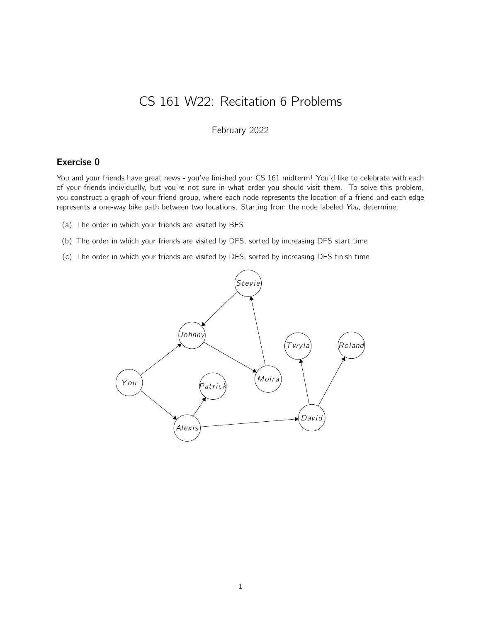## CS 161 W22: Recitation 6 Problems

February 2022

## Exercise 0

You and your friends have great news - you've finished your CS 161 midterm! You'd like to celebrate with each of your friends individually, but you're not sure in what order you should visit them. To solve this problem, you construct a graph of your friend group, where each node represents the location of a friend and each edge represents a one-way bike path between two locations. Starting from the node labeled You, determine:

- (a) The order in which your friends are visited by BFS
- (b) The order in which your friends are visited by DFS, sorted by increasing DFS start time
- (c) The order in which your friends are visited by DFS, sorted by increasing DFS finish time

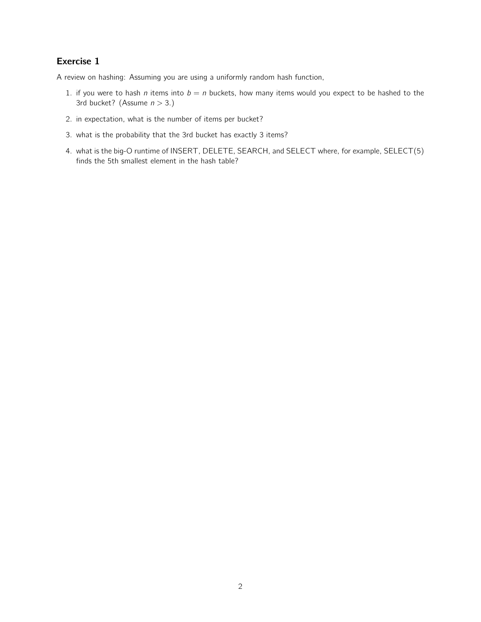## Exercise 1

A review on hashing: Assuming you are using a uniformly random hash function,

- 1. if you were to hash *n* items into  $b = n$  buckets, how many items would you expect to be hashed to the 3rd bucket? (Assume  $n > 3$ .)
- 2. in expectation, what is the number of items per bucket?
- 3. what is the probability that the 3rd bucket has exactly 3 items?
- 4. what is the big-O runtime of INSERT, DELETE, SEARCH, and SELECT where, for example, SELECT(5) finds the 5th smallest element in the hash table?